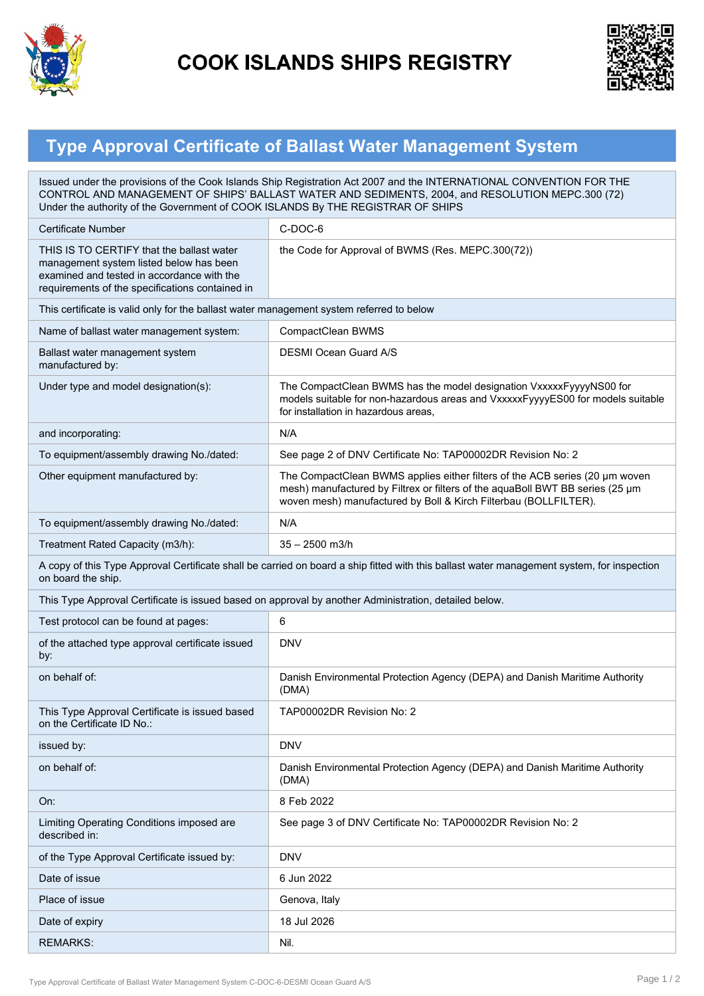

## **COOK ISLANDS SHIPS REGISTRY**



## **Type Approval Certificate of Ballast Water Management System**

| Issued under the provisions of the Cook Islands Ship Registration Act 2007 and the INTERNATIONAL CONVENTION FOR THE<br>CONTROL AND MANAGEMENT OF SHIPS' BALLAST WATER AND SEDIMENTS, 2004, and RESOLUTION MEPC.300 (72)<br>Under the authority of the Government of COOK ISLANDS By THE REGISTRAR OF SHIPS |                                                                                                                                                                                                                                  |
|------------------------------------------------------------------------------------------------------------------------------------------------------------------------------------------------------------------------------------------------------------------------------------------------------------|----------------------------------------------------------------------------------------------------------------------------------------------------------------------------------------------------------------------------------|
| Certificate Number                                                                                                                                                                                                                                                                                         | C-DOC-6                                                                                                                                                                                                                          |
| THIS IS TO CERTIFY that the ballast water<br>management system listed below has been<br>examined and tested in accordance with the<br>requirements of the specifications contained in                                                                                                                      | the Code for Approval of BWMS (Res. MEPC.300(72))                                                                                                                                                                                |
| This certificate is valid only for the ballast water management system referred to below                                                                                                                                                                                                                   |                                                                                                                                                                                                                                  |
| Name of ballast water management system:                                                                                                                                                                                                                                                                   | CompactClean BWMS                                                                                                                                                                                                                |
| Ballast water management system<br>manufactured by:                                                                                                                                                                                                                                                        | <b>DESMI Ocean Guard A/S</b>                                                                                                                                                                                                     |
| Under type and model designation(s):                                                                                                                                                                                                                                                                       | The CompactClean BWMS has the model designation VxxxxxFyyyyNS00 for<br>models suitable for non-hazardous areas and VxxxxxFyyyyES00 for models suitable<br>for installation in hazardous areas.                                   |
| and incorporating:                                                                                                                                                                                                                                                                                         | N/A                                                                                                                                                                                                                              |
| To equipment/assembly drawing No./dated:                                                                                                                                                                                                                                                                   | See page 2 of DNV Certificate No: TAP00002DR Revision No: 2                                                                                                                                                                      |
| Other equipment manufactured by:                                                                                                                                                                                                                                                                           | The CompactClean BWMS applies either filters of the ACB series (20 µm woven<br>mesh) manufactured by Filtrex or filters of the aquaBoll BWT BB series (25 µm<br>woven mesh) manufactured by Boll & Kirch Filterbau (BOLLFILTER). |
| To equipment/assembly drawing No./dated:                                                                                                                                                                                                                                                                   | N/A                                                                                                                                                                                                                              |
| Treatment Rated Capacity (m3/h):                                                                                                                                                                                                                                                                           | $35 - 2500$ m $3/h$                                                                                                                                                                                                              |
| A copy of this Type Approval Certificate shall be carried on board a ship fitted with this ballast water management system, for inspection<br>on board the ship.                                                                                                                                           |                                                                                                                                                                                                                                  |
| This Type Approval Certificate is issued based on approval by another Administration, detailed below.                                                                                                                                                                                                      |                                                                                                                                                                                                                                  |
| Test protocol can be found at pages:                                                                                                                                                                                                                                                                       | 6                                                                                                                                                                                                                                |
| of the attached type approval certificate issued<br>by:                                                                                                                                                                                                                                                    | DNV                                                                                                                                                                                                                              |
| on behalf of:                                                                                                                                                                                                                                                                                              | Danish Environmental Protection Agency (DEPA) and Danish Maritime Authority<br>(DMA)                                                                                                                                             |
| This Type Approval Certificate is issued based<br>on the Certificate ID No.:                                                                                                                                                                                                                               | TAP00002DR Revision No: 2                                                                                                                                                                                                        |
| issued by:                                                                                                                                                                                                                                                                                                 | <b>DNV</b>                                                                                                                                                                                                                       |
| on behalf of:                                                                                                                                                                                                                                                                                              | Danish Environmental Protection Agency (DEPA) and Danish Maritime Authority<br>(DMA)                                                                                                                                             |
| On:                                                                                                                                                                                                                                                                                                        | 8 Feb 2022                                                                                                                                                                                                                       |
| Limiting Operating Conditions imposed are<br>described in:                                                                                                                                                                                                                                                 | See page 3 of DNV Certificate No: TAP00002DR Revision No: 2                                                                                                                                                                      |
| of the Type Approval Certificate issued by:                                                                                                                                                                                                                                                                | <b>DNV</b>                                                                                                                                                                                                                       |
| Date of issue                                                                                                                                                                                                                                                                                              | 6 Jun 2022                                                                                                                                                                                                                       |
| Place of issue                                                                                                                                                                                                                                                                                             | Genova, Italy                                                                                                                                                                                                                    |
| Date of expiry                                                                                                                                                                                                                                                                                             | 18 Jul 2026                                                                                                                                                                                                                      |
| <b>REMARKS:</b>                                                                                                                                                                                                                                                                                            | Nil.                                                                                                                                                                                                                             |